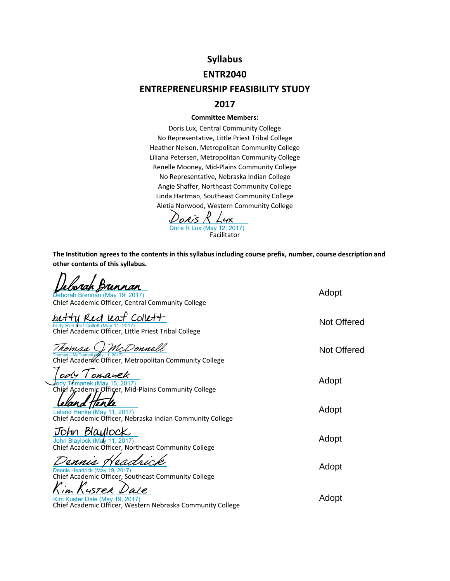## **Syllabus**

### **ENTR2040**

### **ENTREPRENEURSHIP FEASIBILITY STUDY**

### **2017**

#### **Committee Members:**

Doris Lux, Central Community College No Representative, Little Priest Tribal College Heather Nelson, Metropolitan Community College Liliana Petersen, Metropolitan Community College Renelle Mooney, Mid‐Plains Community College No Representative, Nebraska Indian College Angie Shaffer, Northeast Community College Linda Hartman, Southeast Community College Aletia Norwood, Western Community College

Facilitator [Doris R Lux](https://na1.documents.adobe.com/verifier?tx=CBJCHBCAABAAYZRgZLSZJnfXPJiYvFxiUYoaRiwRh0w6)<br>Doris R Lux (May 12, 2017)

**The Institution agrees to the contents in this syllabus including course prefix, number, course description and other contents of this syllabus.**

| rennan<br>Deborah Brennan (May 19, 2017)<br>Chief Academic Officer, Central Community College                     | Adopt       |
|-------------------------------------------------------------------------------------------------------------------|-------------|
| Red leaf Collett<br>betty Red leaf Collett (May 11, 2017)<br>Chief Academic Officer, Little Priest Tribal College | Not Offered |
| McDonnell<br>romas<br>Thomas J McDonnell (<br>Chief Academic Officer, Metropolitan Community College              | Not Offered |
| ody I omanek<br>omanek (May 15, 2017)<br>Chief Academic Officer, Mid-Plains Community College                     | Adopt       |
| Leland Henke (May 11, 2017)<br>Chief Academic Officer, Nebraska Indian Community College                          | Adopt       |
| John Blaylock<br>John Blaylock (May 11, 2017)<br>Chief Academic Officer, Northeast Community College              | Adopt       |
| Dennis Headrick (May 19, 2017)<br>Chief Academic Officer, Southeast Community College                             | Adopt       |
| 4STER L<br>Kim Kuster Dale (May 19, 2017)<br>Chief Academic Officer, Western Nebraska Community College           | Adopt       |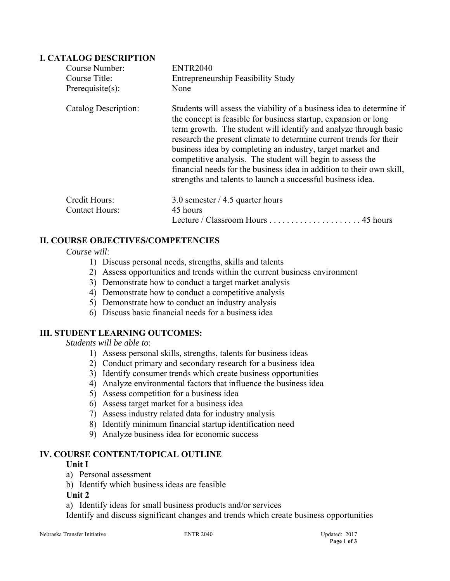### **I. CATALOG DESCRIPTION**

| Course Number:        | <b>ENTR2040</b>                                                                                                                                                                                                                                                                                                                                                                                                                                                                                                                                        |          |  |
|-----------------------|--------------------------------------------------------------------------------------------------------------------------------------------------------------------------------------------------------------------------------------------------------------------------------------------------------------------------------------------------------------------------------------------------------------------------------------------------------------------------------------------------------------------------------------------------------|----------|--|
| Course Title:         | <b>Entrepreneurship Feasibility Study</b>                                                                                                                                                                                                                                                                                                                                                                                                                                                                                                              |          |  |
| $Prerequisite(s)$ :   | None                                                                                                                                                                                                                                                                                                                                                                                                                                                                                                                                                   |          |  |
| Catalog Description:  | Students will assess the viability of a business idea to determine if<br>the concept is feasible for business startup, expansion or long<br>term growth. The student will identify and analyze through basic<br>research the present climate to determine current trends for their<br>business idea by completing an industry, target market and<br>competitive analysis. The student will begin to assess the<br>financial needs for the business idea in addition to their own skill,<br>strengths and talents to launch a successful business idea. |          |  |
| Credit Hours:         | 3.0 semester $/$ 4.5 quarter hours                                                                                                                                                                                                                                                                                                                                                                                                                                                                                                                     |          |  |
| <b>Contact Hours:</b> | 45 hours                                                                                                                                                                                                                                                                                                                                                                                                                                                                                                                                               |          |  |
|                       | Lecture / Classroom Hours                                                                                                                                                                                                                                                                                                                                                                                                                                                                                                                              | 45 hours |  |

### **II. COURSE OBJECTIVES/COMPETENCIES**

#### *Course will*:

- 1) Discuss personal needs, strengths, skills and talents
- 2) Assess opportunities and trends within the current business environment
- 3) Demonstrate how to conduct a target market analysis
- 4) Demonstrate how to conduct a competitive analysis
- 5) Demonstrate how to conduct an industry analysis
- 6) Discuss basic financial needs for a business idea

### **III. STUDENT LEARNING OUTCOMES:**

#### *Students will be able to*:

- 1) Assess personal skills, strengths, talents for business ideas
- 2) Conduct primary and secondary research for a business idea
- 3) Identify consumer trends which create business opportunities
- 4) Analyze environmental factors that influence the business idea
- 5) Assess competition for a business idea
- 6) Assess target market for a business idea
- 7) Assess industry related data for industry analysis
- 8) Identify minimum financial startup identification need
- 9) Analyze business idea for economic success

#### **IV. COURSE CONTENT/TOPICAL OUTLINE**

### **Unit I**

- a) Personal assessment
- b) Identify which business ideas are feasible
- **Unit 2**
- a) Identify ideas for small business products and/or services

Identify and discuss significant changes and trends which create business opportunities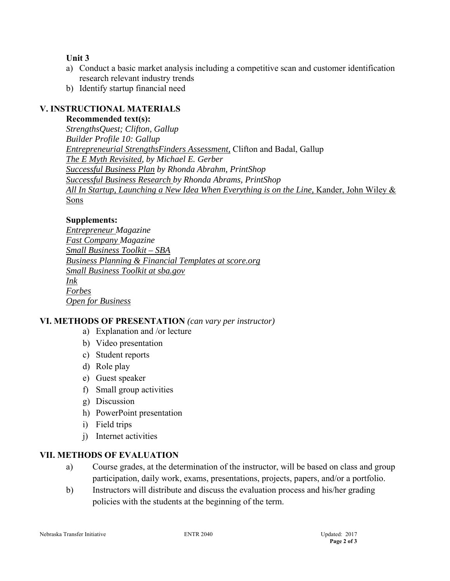### **Unit 3**

- a) Conduct a basic market analysis including a competitive scan and customer identification research relevant industry trends
- b) Identify startup financial need

## **V. INSTRUCTIONAL MATERIALS**

**Recommended text(s):**

 *StrengthsQuest; Clifton, Gallup Builder Profile 10: Gallup Entrepreneurial StrengthsFinders Assessment,* Clifton and Badal, Gallup *The E Myth Revisited, by Michael E. Gerber Successful Business Plan by Rhonda Abrahm, PrintShop Successful Business Research by Rhonda Abrams, PrintShop All In Startup, Launching a New Idea When Everything is on the Line,* Kander, John Wiley & Sons

### **Supplements:**

*Entrepreneur Magazine Fast Company Magazine Small Business Toolkit – SBA Business Planning & Financial Templates at score.org Small Business Toolkit at sba.gov Ink Forbes Open for Business* 

### **VI. METHODS OF PRESENTATION** *(can vary per instructor)*

- a) Explanation and /or lecture
- b) Video presentation
- c) Student reports
- d) Role play
- e) Guest speaker
- f) Small group activities
- g) Discussion
- h) PowerPoint presentation
- i) Field trips
- j) Internet activities

### **VII. METHODS OF EVALUATION**

- a) Course grades, at the determination of the instructor, will be based on class and group participation, daily work, exams, presentations, projects, papers, and/or a portfolio.
- b) Instructors will distribute and discuss the evaluation process and his/her grading policies with the students at the beginning of the term.